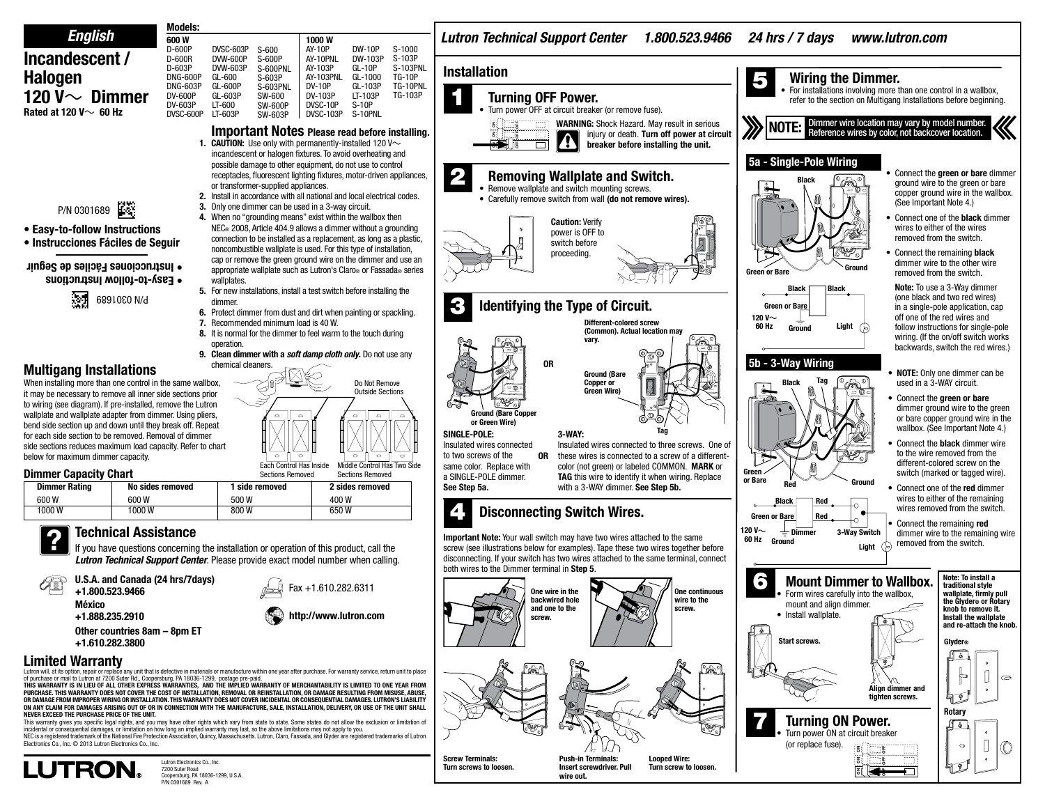#### Models: *English Lutron Technical Support Center 1.800.523.9466 24 hrs / 7 days www.lutron.com* 600 W 1000 W D-600P DVSC-603P AY-10P DW-10P S-1000 S-600 **Incandescent /**  D-600R DVW-600P S-600P AY-10PNL DW-103P S-103P D-603P DVW-603P S-600PNL AY-103P GL-10P S-103PNL **Installation Halogen** DNG-600P AY-103PNL GL-600 S-603P GL-1000 TG-10P 5 Wiring the Dimmer. DNG-603P GL-600P S-603PNL DV-10P GL-103P TG-10PNL • For installations involving more than one control in a wallbox, **120 V** $\sim$  **Dimmer** DV-103P DV-600P GL-603P SW-600 LT-103P TG-103P **Turning OFF Power.** refer to the section on Multigang Installations before beginning. DV-603P LT-600 SW-600P DVSC-10P S-10P Turn power OFF at circuit breaker (or remove fuse). **Rated at 120 V** $\sim$  **60 Hz** DVSC-600P LT-603P DVSC-103P S-10PNL SW-603P **WARNING:** Shock Hazard. May result in serious Dimmer wire location may vary by model number.<br>Reference wires by color, not backcover location. ã g<br>S **Important Notes Please read before installing.** injury or death. Turn off power at circuit ã ä ₩ **1. CAUTION:** Use only with permanently-installed 120 V $\sim$ breaker before installing the unit. ON g<br>S incandescent or halogen fixtures. To avoid overheating and  **5a - Single-Pole Wiring** possible damage to other equipment, do not use to control Connect the **green or bare** dimmer receptacles, fluorescent lighting fixtures, motor-driven appliances, **Removing Wallplate and Switch.** Blackground wire to the green or bare or transformer-supplied appliances. • Remove wallplate and switch mounting screws. copper ground wire in the wallbox. 2. Install in accordance with all national and local electrical codes. • Carefully remove switch from wall (do not remove wires). (See Important Note 4.) P/N 0301689 3. Only one dimmer can be used in a 3-way circuit. 4. When no "grounding means" exist within the wallbox then Connect one of the **black** dimmer Caution: Verify NEC® 2008, Article 404.9 allows a dimmer without a grounding wires to either of the wires • Easy-to-follow Instructions power is OFF to connection to be installed as a replacement, as long as a plastic, removed from the switch. • Instrucciones Fáciles de Seguir switch before noncombustible wallplate is used. For this type of installation, proceeding. Connect the remaining **black** cap or remove the green ground wire on the dimmer and use an dimmer wire to the other wire • Instrucciones Fáciles de Seguir appropriate wallplate such as Lutron's Claro® or Fassada® series Green or Bare removed from the switch. • Easy-to-follow Instructions wallplates Note: To use a 3-Way dimmer 5. For new installations, install a test switch before installing the **Black Black**  $\sqrt{N}$  6891060 N/d (one black and two red wires) dimmer. 3 Identifying the Type of Circuit. Green or Bar in a single-pole application, cap 6. Protect dimmer from dust and dirt when painting or spackling. off one of the red wires and 120 V $\sim$ 7. Recommended minimum load is 40 W. Different-colored screw 60 Hz Light follow instructions for single-pole (Common). Actual location may 8. It is normal for the dimmer to feel warm to the touch during wiring. (If the on/off switch works vary. operation. backwards, switch the red wires.) 9. Clean dimmer with a *soft damp cloth only*. Do not use any  **5b - 3-Way Wiring** OR chemical cleaners. **Multigang Installations** Ground (Bare • **NOTE:** Only one dimmer can be When installing more than one control in the same wallbox, Do Not Remove Copper or Black Tag used in a 3-WAY circuit. Green Wire) it may be necessary to remove all inner side sections prior Outside Sections Connect the **green or bare** to wiring (see diagram). If pre-installed, remove the Lutron dimmer ground wire to the green wallplate and wallplate adapter from dimmer. Using pliers, **Gare Copp**  $\circ$ or bare copper ground wire in the or Green Wire) bend side section up and down until they break off. Repeat wallbox. (See Important Note 4.) Tag SINGLE-POLE: 3-WAY: for each side section to be removed. Removal of dimmer Connect the **black** dimmer wire Insulated wires connected Insulated wires connected to three screws. One of side sections reduces maximum load capacity. Refer to chart to the wire removed from the to two screws of the OR these wires is connected to a screw of a differentbelow for maximum dimmer capacity.  $\circ$ different-colored screw on the Middle Control Has Two Side Each Control Has Inside same color. Replace with color (not green) or labeled COMMON. MARK or switch (marked or tagged wire). **Dimmer Capacity Chart** Sections Removed Green Sections Remover a SINGLE-POLE dimmer. TAG this wire to identify it when wiring. Replace or Bare Red Ground Dimmer Rating | No sides removed | 1 side removed | 2 sides removed See Step 5a. with a 3-WAY dimmer. See Step 5b. Connect one of the red dimmer wires to either of the remaining 600 W 600 W 500 W 400 W Black Red wires removed from the switch. 1000 W 1000 W 800 W 650 W Disconnecting Switch Wires. Green or Bare Red • Connect the remaining red **Technical Assistance** 120 V $\sim$   $\pm$  Dimmer 3-Way Switch ? dimmer wire to the remaining wire Important Note: Your wall switch may have two wires attached to the same Ground removed from the switch. Light If you have questions concerning the installation or operation of this product, call the screw (see illustrations below for examples). Tape these two wires together before disconnecting. If your switch has two wires attached to the same terminal, connect *Lutron Technical Support Center*. Please provide exact model number when calling. both wires to the Dimmer terminal in Step 5. Note: To install a U.S.A. and Canada (24 hrs/7days) 6 Mount Dimmer to Wallbox. traditional style Fax +1.610.282.6311 +1.800.523.9466 One wire in the One continuous • Form wires carefully into the wallbox, wallplate, firmly pull backwired hole wire to the the Glyder® or Rotary México mount and align dimmer. and one to the screw. knob to remove it. +1.888.235.2910 http://www.lutron.com • Install wallplate. Install the wallplate screw. and re-attach the knob. Other countries 8am – 8pm ET Glyder® +1.610.282.3800 Start screws. **Limited Warranty** .<br>Ce anv unit that is defective in materials or manufacture within one year after purchase. For warranty service, return unit to place of purchase or mail to Lutron at 7200 Suter Rd., Coopersburg, PA 18036-1299, postage pre-paid. ē W **This warranty is in lieu of all other express warranties, and the implied warranty of merchantability is limited to one year from**  Align dimmer and **purchase. This warranty does not cover the cost of installation, removal or reinstallation, or damage resulting from misuse, abuse, or damage from improper wiring or installation. This warranty does not cover incidental or consequential damages. LUTRON'S LIABILITY** tighten screws. **ON ANY CLAIM FOR DAMAGES ARISING OUT OF OR IN CONNECTION WITH THE MANUFACTURE, SALE, INSTALLATION, DELIVERY, OR USE OF THE UNIT SHALL Rotary NEVER EXCEED THE PURCHASE PRICE OF THE UNIT. Turning ON Power.** This warranty gives you specific legal rights, and you may have other rights which vary from state to state. Some states do not allow the exclusion or limitation of incidental or consequential damages, or limitation on how long an implied warranty may last, so the above limitations may not apply to you. Turn power ON at circuit breaker NEC is a registered trademark of the National Fire Protection Association, Quincy, Massachusetts. Lutron, Claro, Fassada, and Glyder are registered trademarks of Lutron Electronics Co., Inc. © 2013 Lutron Electronics Co., Inc. (or replace fuse). ä ON Screw Terminals: Push-in Terminals: Looped Wire: OFF Lutron Electronics Co., Inc. õ **LUTRON.** Turn screws to loosen. Insert screwdriver. Pull Turn screw to loosen. ON OFF

7200 Suter Road Coopersburg, PA 18036-1299, U.S.A. P/N 0301689 Rev. A

wire out.